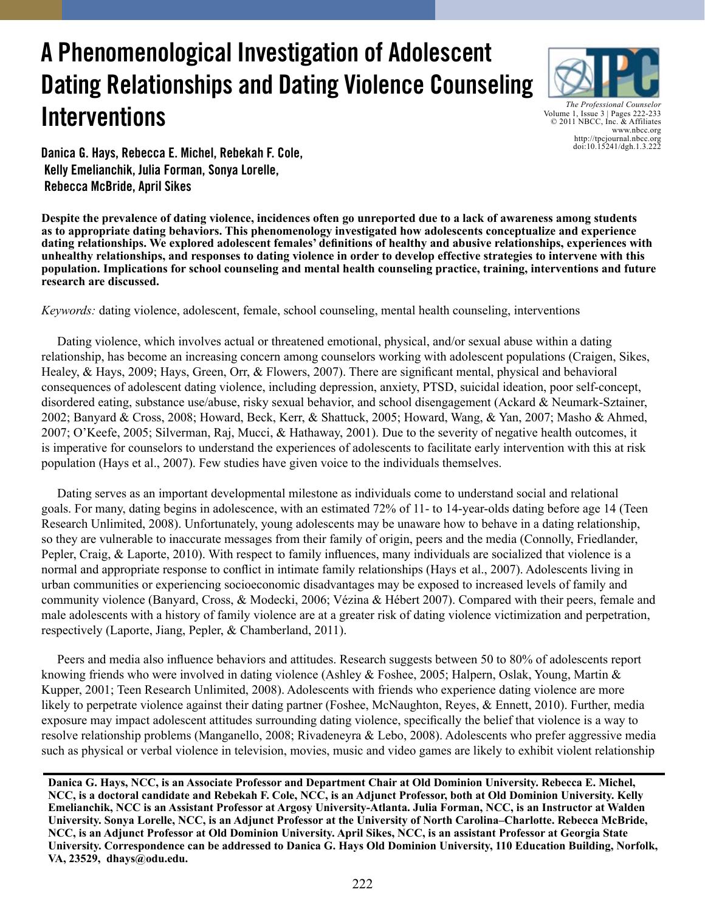# **A Phenomenological Investigation of Adolescent Dating Relationships and Dating Violence Counseling Interventions**



*The Professional Counselor* Volume 1, Issue 3 | Pages 222-233 © 2011 NBCC, Inc. & Affiliates www.nbcc.org http://tpcjournal.nbcc.org doi:10.15241/dgh.1.3.222

**Danica G. Hays, Rebecca E. Michel, Rebekah F. Cole, Kelly Emelianchik, Julia Forman, Sonya Lorelle, Rebecca McBride, April Sikes** 

**Despite the prevalence of dating violence, incidences often go unreported due to a lack of awareness among students as to appropriate dating behaviors. This phenomenology investigated how adolescents conceptualize and experience dating relationships. We explored adolescent females' definitions of healthy and abusive relationships, experiences with unhealthy relationships, and responses to dating violence in order to develop effective strategies to intervene with this population. Implications for school counseling and mental health counseling practice, training, interventions and future research are discussed.**

*Keywords:* dating violence, adolescent, female, school counseling, mental health counseling, interventions

 Dating violence, which involves actual or threatened emotional, physical, and/or sexual abuse within a dating relationship, has become an increasing concern among counselors working with adolescent populations (Craigen, Sikes, Healey, & Hays, 2009; Hays, Green, Orr, & Flowers, 2007). There are significant mental, physical and behavioral consequences of adolescent dating violence, including depression, anxiety, PTSD, suicidal ideation, poor self-concept, disordered eating, substance use/abuse, risky sexual behavior, and school disengagement (Ackard & Neumark-Sztainer, 2002; Banyard & Cross, 2008; Howard, Beck, Kerr, & Shattuck, 2005; Howard, Wang, & Yan, 2007; Masho & Ahmed, 2007; O'Keefe, 2005; Silverman, Raj, Mucci, & Hathaway, 2001). Due to the severity of negative health outcomes, it is imperative for counselors to understand the experiences of adolescents to facilitate early intervention with this at risk population (Hays et al., 2007). Few studies have given voice to the individuals themselves.

 Dating serves as an important developmental milestone as individuals come to understand social and relational goals. For many, dating begins in adolescence, with an estimated 72% of 11- to 14-year-olds dating before age 14 (Teen Research Unlimited, 2008). Unfortunately, young adolescents may be unaware how to behave in a dating relationship, so they are vulnerable to inaccurate messages from their family of origin, peers and the media (Connolly, Friedlander, Pepler, Craig, & Laporte, 2010). With respect to family influences, many individuals are socialized that violence is a normal and appropriate response to conflict in intimate family relationships (Hays et al., 2007). Adolescents living in urban communities or experiencing socioeconomic disadvantages may be exposed to increased levels of family and community violence (Banyard, Cross, & Modecki, 2006; Vézina & Hébert 2007). Compared with their peers, female and male adolescents with a history of family violence are at a greater risk of dating violence victimization and perpetration, respectively (Laporte, Jiang, Pepler, & Chamberland, 2011).

 Peers and media also influence behaviors and attitudes. Research suggests between 50 to 80% of adolescents report knowing friends who were involved in dating violence (Ashley & Foshee, 2005; Halpern, Oslak, Young, Martin & Kupper, 2001; Teen Research Unlimited, 2008). Adolescents with friends who experience dating violence are more likely to perpetrate violence against their dating partner (Foshee, McNaughton, Reyes, & Ennett, 2010). Further, media exposure may impact adolescent attitudes surrounding dating violence, specifically the belief that violence is a way to resolve relationship problems (Manganello, 2008; Rivadeneyra & Lebo, 2008). Adolescents who prefer aggressive media such as physical or verbal violence in television, movies, music and video games are likely to exhibit violent relationship

**Danica G. Hays, NCC, is an Associate Professor and Department Chair at Old Dominion University. Rebecca E. Michel, NCC, is a doctoral candidate and Rebekah F. Cole, NCC, is an Adjunct Professor, both at Old Dominion University. Kelly Emelianchik, NCC is an Assistant Professor at Argosy University-Atlanta. Julia Forman, NCC, is an Instructor at Walden University. Sonya Lorelle, NCC, is an Adjunct Professor at the University of North Carolina–Charlotte. Rebecca McBride, NCC, is an Adjunct Professor at Old Dominion University. April Sikes, NCC, is an assistant Professor at Georgia State University. Correspondence can be addressed to Danica G. Hays Old Dominion University, 110 Education Building, Norfolk, VA, 23529, dhays@odu.edu.**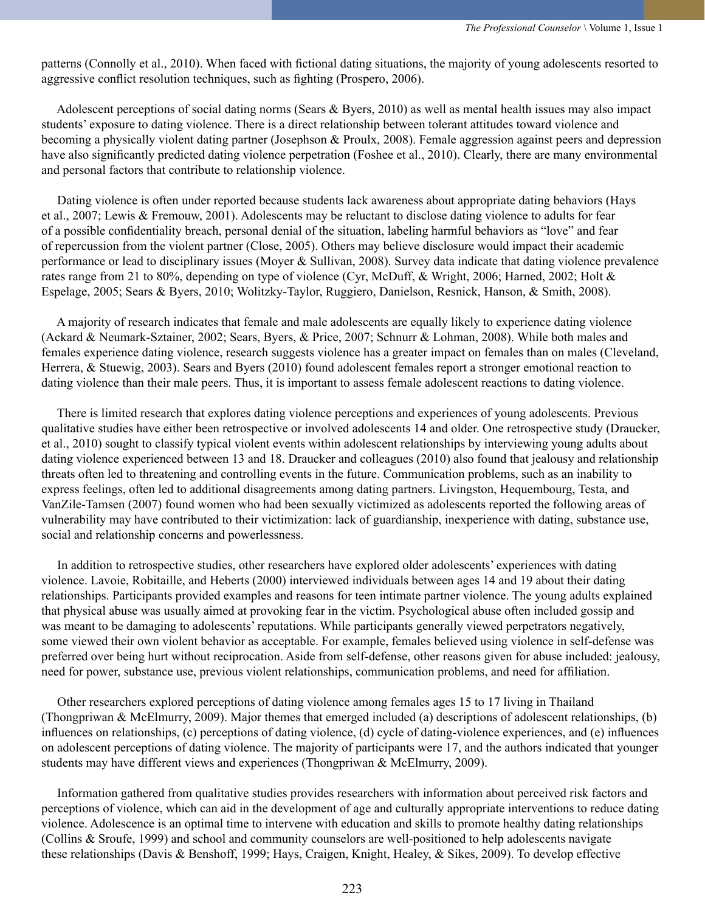patterns (Connolly et al., 2010). When faced with fictional dating situations, the majority of young adolescents resorted to aggressive conflict resolution techniques, such as fighting (Prospero, 2006).

 Adolescent perceptions of social dating norms (Sears & Byers, 2010) as well as mental health issues may also impact students' exposure to dating violence. There is a direct relationship between tolerant attitudes toward violence and becoming a physically violent dating partner (Josephson & Proulx, 2008). Female aggression against peers and depression have also significantly predicted dating violence perpetration (Foshee et al., 2010). Clearly, there are many environmental and personal factors that contribute to relationship violence.

 Dating violence is often under reported because students lack awareness about appropriate dating behaviors (Hays et al., 2007; Lewis & Fremouw, 2001). Adolescents may be reluctant to disclose dating violence to adults for fear of a possible confidentiality breach, personal denial of the situation, labeling harmful behaviors as "love" and fear of repercussion from the violent partner (Close, 2005). Others may believe disclosure would impact their academic performance or lead to disciplinary issues (Moyer & Sullivan, 2008). Survey data indicate that dating violence prevalence rates range from 21 to 80%, depending on type of violence (Cyr, McDuff, & Wright, 2006; Harned, 2002; Holt & Espelage, 2005; Sears & Byers, 2010; Wolitzky-Taylor, Ruggiero, Danielson, Resnick, Hanson, & Smith, 2008).

 A majority of research indicates that female and male adolescents are equally likely to experience dating violence (Ackard & Neumark-Sztainer, 2002; Sears, Byers, & Price, 2007; Schnurr & Lohman, 2008). While both males and females experience dating violence, research suggests violence has a greater impact on females than on males (Cleveland, Herrera, & Stuewig, 2003). Sears and Byers (2010) found adolescent females report a stronger emotional reaction to dating violence than their male peers. Thus, it is important to assess female adolescent reactions to dating violence.

 There is limited research that explores dating violence perceptions and experiences of young adolescents. Previous qualitative studies have either been retrospective or involved adolescents 14 and older. One retrospective study (Draucker, et al., 2010) sought to classify typical violent events within adolescent relationships by interviewing young adults about dating violence experienced between 13 and 18. Draucker and colleagues (2010) also found that jealousy and relationship threats often led to threatening and controlling events in the future. Communication problems, such as an inability to express feelings, often led to additional disagreements among dating partners. Livingston, Hequembourg, Testa, and VanZile-Tamsen (2007) found women who had been sexually victimized as adolescents reported the following areas of vulnerability may have contributed to their victimization: lack of guardianship, inexperience with dating, substance use, social and relationship concerns and powerlessness.

 In addition to retrospective studies, other researchers have explored older adolescents' experiences with dating violence. Lavoie, Robitaille, and Heberts (2000) interviewed individuals between ages 14 and 19 about their dating relationships. Participants provided examples and reasons for teen intimate partner violence. The young adults explained that physical abuse was usually aimed at provoking fear in the victim. Psychological abuse often included gossip and was meant to be damaging to adolescents' reputations. While participants generally viewed perpetrators negatively, some viewed their own violent behavior as acceptable. For example, females believed using violence in self-defense was preferred over being hurt without reciprocation. Aside from self-defense, other reasons given for abuse included: jealousy, need for power, substance use, previous violent relationships, communication problems, and need for affiliation.

 Other researchers explored perceptions of dating violence among females ages 15 to 17 living in Thailand (Thongpriwan & McElmurry, 2009). Major themes that emerged included (a) descriptions of adolescent relationships, (b) influences on relationships, (c) perceptions of dating violence, (d) cycle of dating-violence experiences, and (e) influences on adolescent perceptions of dating violence. The majority of participants were 17, and the authors indicated that younger students may have different views and experiences (Thongpriwan & McElmurry, 2009).

 Information gathered from qualitative studies provides researchers with information about perceived risk factors and perceptions of violence, which can aid in the development of age and culturally appropriate interventions to reduce dating violence. Adolescence is an optimal time to intervene with education and skills to promote healthy dating relationships (Collins & Sroufe, 1999) and school and community counselors are well-positioned to help adolescents navigate these relationships (Davis & Benshoff, 1999; Hays, Craigen, Knight, Healey, & Sikes, 2009). To develop effective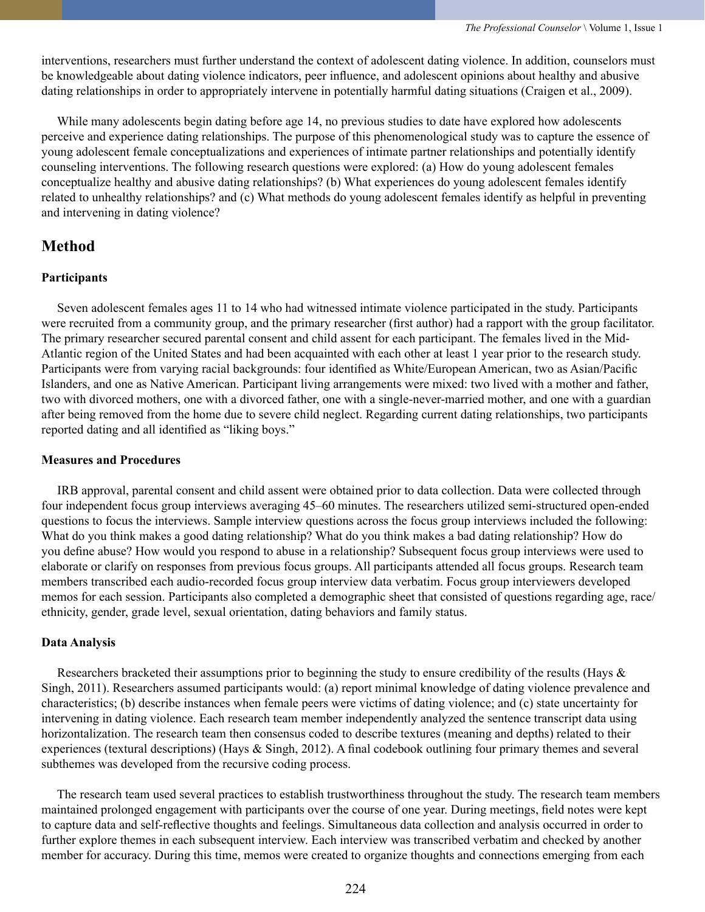interventions, researchers must further understand the context of adolescent dating violence. In addition, counselors must be knowledgeable about dating violence indicators, peer influence, and adolescent opinions about healthy and abusive dating relationships in order to appropriately intervene in potentially harmful dating situations (Craigen et al., 2009).

 While many adolescents begin dating before age 14, no previous studies to date have explored how adolescents perceive and experience dating relationships. The purpose of this phenomenological study was to capture the essence of young adolescent female conceptualizations and experiences of intimate partner relationships and potentially identify counseling interventions. The following research questions were explored: (a) How do young adolescent females conceptualize healthy and abusive dating relationships? (b) What experiences do young adolescent females identify related to unhealthy relationships? and (c) What methods do young adolescent females identify as helpful in preventing and intervening in dating violence?

## **Method**

### **Participants**

 Seven adolescent females ages 11 to 14 who had witnessed intimate violence participated in the study. Participants were recruited from a community group, and the primary researcher (first author) had a rapport with the group facilitator. The primary researcher secured parental consent and child assent for each participant. The females lived in the Mid-Atlantic region of the United States and had been acquainted with each other at least 1 year prior to the research study. Participants were from varying racial backgrounds: four identified as White/European American, two as Asian/Pacific Islanders, and one as Native American. Participant living arrangements were mixed: two lived with a mother and father, two with divorced mothers, one with a divorced father, one with a single-never-married mother, and one with a guardian after being removed from the home due to severe child neglect. Regarding current dating relationships, two participants reported dating and all identified as "liking boys."

#### **Measures and Procedures**

 IRB approval, parental consent and child assent were obtained prior to data collection. Data were collected through four independent focus group interviews averaging 45–60 minutes. The researchers utilized semi-structured open-ended questions to focus the interviews. Sample interview questions across the focus group interviews included the following: What do you think makes a good dating relationship? What do you think makes a bad dating relationship? How do you define abuse? How would you respond to abuse in a relationship? Subsequent focus group interviews were used to elaborate or clarify on responses from previous focus groups. All participants attended all focus groups. Research team members transcribed each audio-recorded focus group interview data verbatim. Focus group interviewers developed memos for each session. Participants also completed a demographic sheet that consisted of questions regarding age, race/ ethnicity, gender, grade level, sexual orientation, dating behaviors and family status.

## **Data Analysis**

Researchers bracketed their assumptions prior to beginning the study to ensure credibility of the results (Hays & Singh, 2011). Researchers assumed participants would: (a) report minimal knowledge of dating violence prevalence and characteristics; (b) describe instances when female peers were victims of dating violence; and (c) state uncertainty for intervening in dating violence. Each research team member independently analyzed the sentence transcript data using horizontalization. The research team then consensus coded to describe textures (meaning and depths) related to their experiences (textural descriptions) (Hays & Singh, 2012). A final codebook outlining four primary themes and several subthemes was developed from the recursive coding process.

 The research team used several practices to establish trustworthiness throughout the study. The research team members maintained prolonged engagement with participants over the course of one year. During meetings, field notes were kept to capture data and self-reflective thoughts and feelings. Simultaneous data collection and analysis occurred in order to further explore themes in each subsequent interview. Each interview was transcribed verbatim and checked by another member for accuracy. During this time, memos were created to organize thoughts and connections emerging from each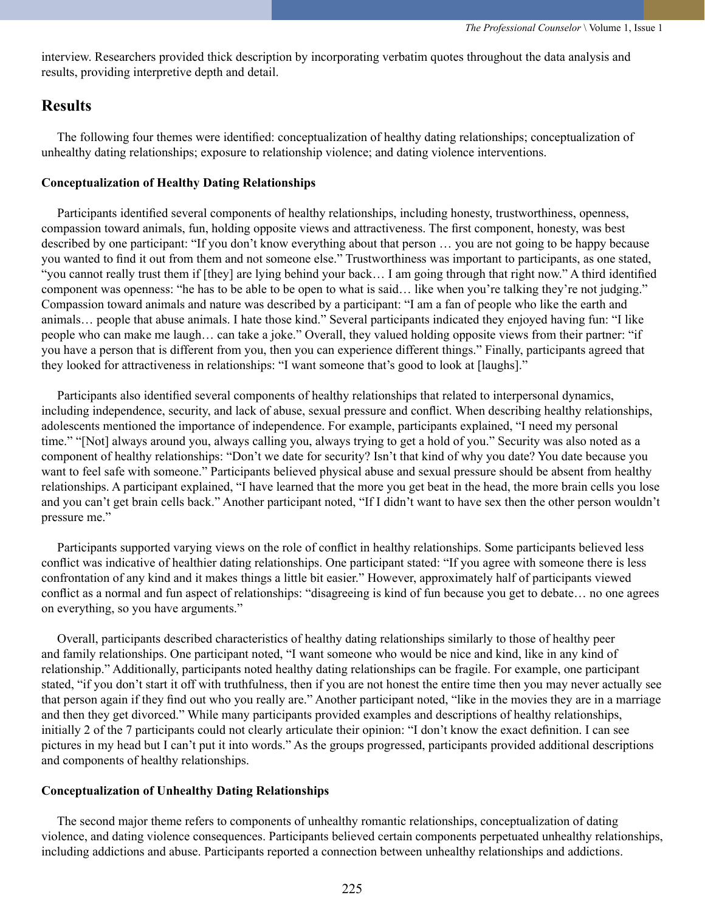interview. Researchers provided thick description by incorporating verbatim quotes throughout the data analysis and results, providing interpretive depth and detail.

## **Results**

 The following four themes were identified: conceptualization of healthy dating relationships; conceptualization of unhealthy dating relationships; exposure to relationship violence; and dating violence interventions.

#### **Conceptualization of Healthy Dating Relationships**

 Participants identified several components of healthy relationships, including honesty, trustworthiness, openness, compassion toward animals, fun, holding opposite views and attractiveness. The first component, honesty, was best described by one participant: "If you don't know everything about that person … you are not going to be happy because you wanted to find it out from them and not someone else." Trustworthiness was important to participants, as one stated, "you cannot really trust them if [they] are lying behind your back… I am going through that right now." A third identified component was openness: "he has to be able to be open to what is said… like when you're talking they're not judging." Compassion toward animals and nature was described by a participant: "I am a fan of people who like the earth and animals… people that abuse animals. I hate those kind." Several participants indicated they enjoyed having fun: "I like people who can make me laugh… can take a joke." Overall, they valued holding opposite views from their partner: "if you have a person that is different from you, then you can experience different things." Finally, participants agreed that they looked for attractiveness in relationships: "I want someone that's good to look at [laughs]."

 Participants also identified several components of healthy relationships that related to interpersonal dynamics, including independence, security, and lack of abuse, sexual pressure and conflict. When describing healthy relationships, adolescents mentioned the importance of independence. For example, participants explained, "I need my personal time." "[Not] always around you, always calling you, always trying to get a hold of you." Security was also noted as a component of healthy relationships: "Don't we date for security? Isn't that kind of why you date? You date because you want to feel safe with someone." Participants believed physical abuse and sexual pressure should be absent from healthy relationships. A participant explained, "I have learned that the more you get beat in the head, the more brain cells you lose and you can't get brain cells back." Another participant noted, "If I didn't want to have sex then the other person wouldn't pressure me."

 Participants supported varying views on the role of conflict in healthy relationships. Some participants believed less conflict was indicative of healthier dating relationships. One participant stated: "If you agree with someone there is less confrontation of any kind and it makes things a little bit easier." However, approximately half of participants viewed conflict as a normal and fun aspect of relationships: "disagreeing is kind of fun because you get to debate… no one agrees on everything, so you have arguments."

 Overall, participants described characteristics of healthy dating relationships similarly to those of healthy peer and family relationships. One participant noted, "I want someone who would be nice and kind, like in any kind of relationship." Additionally, participants noted healthy dating relationships can be fragile. For example, one participant stated, "if you don't start it off with truthfulness, then if you are not honest the entire time then you may never actually see that person again if they find out who you really are." Another participant noted, "like in the movies they are in a marriage and then they get divorced." While many participants provided examples and descriptions of healthy relationships, initially 2 of the 7 participants could not clearly articulate their opinion: "I don't know the exact definition. I can see pictures in my head but I can't put it into words." As the groups progressed, participants provided additional descriptions and components of healthy relationships.

#### **Conceptualization of Unhealthy Dating Relationships**

 The second major theme refers to components of unhealthy romantic relationships, conceptualization of dating violence, and dating violence consequences. Participants believed certain components perpetuated unhealthy relationships, including addictions and abuse. Participants reported a connection between unhealthy relationships and addictions.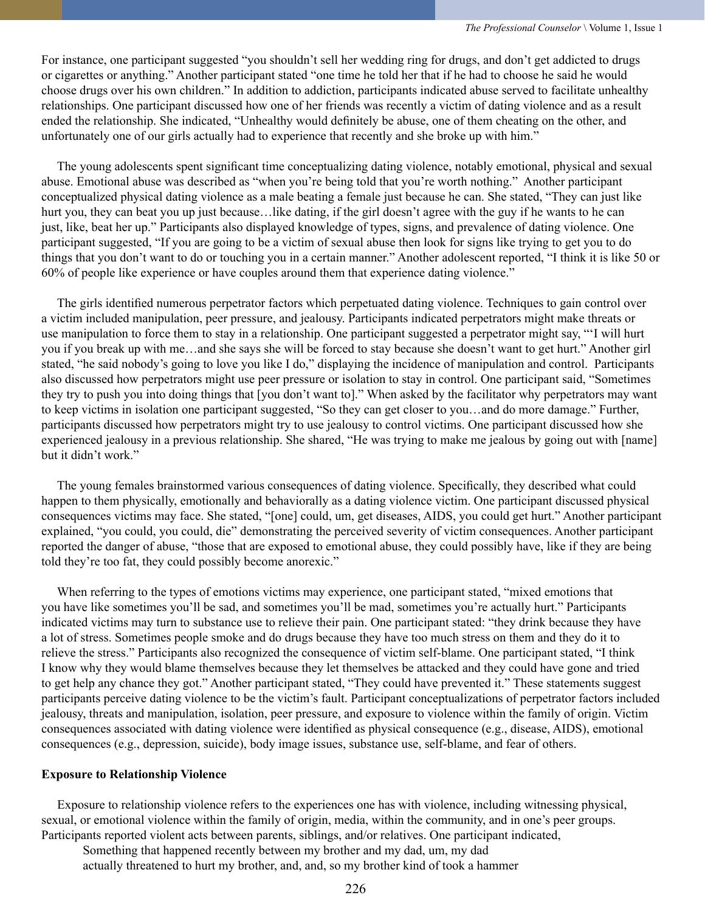For instance, one participant suggested "you shouldn't sell her wedding ring for drugs, and don't get addicted to drugs or cigarettes or anything." Another participant stated "one time he told her that if he had to choose he said he would choose drugs over his own children." In addition to addiction, participants indicated abuse served to facilitate unhealthy relationships. One participant discussed how one of her friends was recently a victim of dating violence and as a result ended the relationship. She indicated, "Unhealthy would definitely be abuse, one of them cheating on the other, and unfortunately one of our girls actually had to experience that recently and she broke up with him."

 The young adolescents spent significant time conceptualizing dating violence, notably emotional, physical and sexual abuse. Emotional abuse was described as "when you're being told that you're worth nothing." Another participant conceptualized physical dating violence as a male beating a female just because he can. She stated, "They can just like hurt you, they can beat you up just because…like dating, if the girl doesn't agree with the guy if he wants to he can just, like, beat her up." Participants also displayed knowledge of types, signs, and prevalence of dating violence. One participant suggested, "If you are going to be a victim of sexual abuse then look for signs like trying to get you to do things that you don't want to do or touching you in a certain manner." Another adolescent reported, "I think it is like 50 or 60% of people like experience or have couples around them that experience dating violence."

 The girls identified numerous perpetrator factors which perpetuated dating violence. Techniques to gain control over a victim included manipulation, peer pressure, and jealousy. Participants indicated perpetrators might make threats or use manipulation to force them to stay in a relationship. One participant suggested a perpetrator might say, "'I will hurt you if you break up with me…and she says she will be forced to stay because she doesn't want to get hurt." Another girl stated, "he said nobody's going to love you like I do," displaying the incidence of manipulation and control. Participants also discussed how perpetrators might use peer pressure or isolation to stay in control. One participant said, "Sometimes they try to push you into doing things that [you don't want to]." When asked by the facilitator why perpetrators may want to keep victims in isolation one participant suggested, "So they can get closer to you…and do more damage." Further, participants discussed how perpetrators might try to use jealousy to control victims. One participant discussed how she experienced jealousy in a previous relationship. She shared, "He was trying to make me jealous by going out with [name] but it didn't work."

 The young females brainstormed various consequences of dating violence. Specifically, they described what could happen to them physically, emotionally and behaviorally as a dating violence victim. One participant discussed physical consequences victims may face. She stated, "[one] could, um, get diseases, AIDS, you could get hurt." Another participant explained, "you could, you could, die" demonstrating the perceived severity of victim consequences. Another participant reported the danger of abuse, "those that are exposed to emotional abuse, they could possibly have, like if they are being told they're too fat, they could possibly become anorexic."

When referring to the types of emotions victims may experience, one participant stated, "mixed emotions that you have like sometimes you'll be sad, and sometimes you'll be mad, sometimes you're actually hurt." Participants indicated victims may turn to substance use to relieve their pain. One participant stated: "they drink because they have a lot of stress. Sometimes people smoke and do drugs because they have too much stress on them and they do it to relieve the stress." Participants also recognized the consequence of victim self-blame. One participant stated, "I think I know why they would blame themselves because they let themselves be attacked and they could have gone and tried to get help any chance they got." Another participant stated, "They could have prevented it." These statements suggest participants perceive dating violence to be the victim's fault. Participant conceptualizations of perpetrator factors included jealousy, threats and manipulation, isolation, peer pressure, and exposure to violence within the family of origin. Victim consequences associated with dating violence were identified as physical consequence (e.g., disease, AIDS), emotional consequences (e.g., depression, suicide), body image issues, substance use, self-blame, and fear of others.

#### **Exposure to Relationship Violence**

 Exposure to relationship violence refers to the experiences one has with violence, including witnessing physical, sexual, or emotional violence within the family of origin, media, within the community, and in one's peer groups. Participants reported violent acts between parents, siblings, and/or relatives. One participant indicated,

Something that happened recently between my brother and my dad, um, my dad actually threatened to hurt my brother, and, and, so my brother kind of took a hammer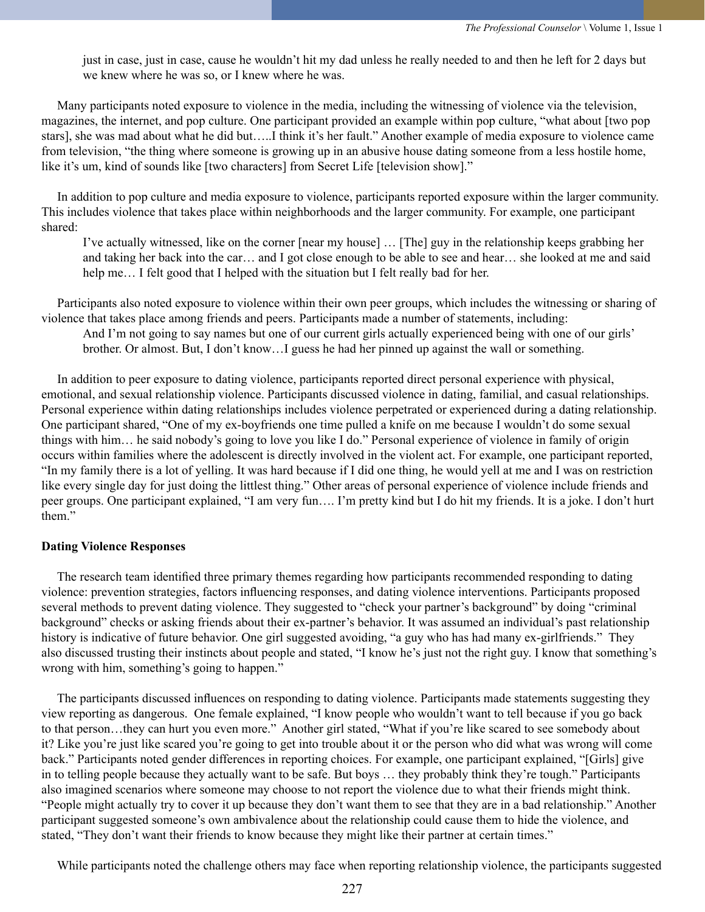just in case, just in case, cause he wouldn't hit my dad unless he really needed to and then he left for 2 days but we knew where he was so, or I knew where he was.

 Many participants noted exposure to violence in the media, including the witnessing of violence via the television, magazines, the internet, and pop culture. One participant provided an example within pop culture, "what about [two pop stars], she was mad about what he did but…..I think it's her fault." Another example of media exposure to violence came from television, "the thing where someone is growing up in an abusive house dating someone from a less hostile home, like it's um, kind of sounds like [two characters] from Secret Life [television show]."

 In addition to pop culture and media exposure to violence, participants reported exposure within the larger community. This includes violence that takes place within neighborhoods and the larger community. For example, one participant shared:

I've actually witnessed, like on the corner [near my house] … [The] guy in the relationship keeps grabbing her and taking her back into the car… and I got close enough to be able to see and hear… she looked at me and said help me... I felt good that I helped with the situation but I felt really bad for her.

 Participants also noted exposure to violence within their own peer groups, which includes the witnessing or sharing of violence that takes place among friends and peers. Participants made a number of statements, including:

And I'm not going to say names but one of our current girls actually experienced being with one of our girls' brother. Or almost. But, I don't know…I guess he had her pinned up against the wall or something.

 In addition to peer exposure to dating violence, participants reported direct personal experience with physical, emotional, and sexual relationship violence. Participants discussed violence in dating, familial, and casual relationships. Personal experience within dating relationships includes violence perpetrated or experienced during a dating relationship. One participant shared, "One of my ex-boyfriends one time pulled a knife on me because I wouldn't do some sexual things with him… he said nobody's going to love you like I do." Personal experience of violence in family of origin occurs within families where the adolescent is directly involved in the violent act. For example, one participant reported, "In my family there is a lot of yelling. It was hard because if I did one thing, he would yell at me and I was on restriction like every single day for just doing the littlest thing." Other areas of personal experience of violence include friends and peer groups. One participant explained, "I am very fun…. I'm pretty kind but I do hit my friends. It is a joke. I don't hurt them."

#### **Dating Violence Responses**

 The research team identified three primary themes regarding how participants recommended responding to dating violence: prevention strategies, factors influencing responses, and dating violence interventions. Participants proposed several methods to prevent dating violence. They suggested to "check your partner's background" by doing "criminal background" checks or asking friends about their ex-partner's behavior. It was assumed an individual's past relationship history is indicative of future behavior. One girl suggested avoiding, "a guy who has had many ex-girlfriends." They also discussed trusting their instincts about people and stated, "I know he's just not the right guy. I know that something's wrong with him, something's going to happen."

 The participants discussed influences on responding to dating violence. Participants made statements suggesting they view reporting as dangerous. One female explained, "I know people who wouldn't want to tell because if you go back to that person…they can hurt you even more." Another girl stated, "What if you're like scared to see somebody about it? Like you're just like scared you're going to get into trouble about it or the person who did what was wrong will come back." Participants noted gender differences in reporting choices. For example, one participant explained, "[Girls] give in to telling people because they actually want to be safe. But boys … they probably think they're tough." Participants also imagined scenarios where someone may choose to not report the violence due to what their friends might think. "People might actually try to cover it up because they don't want them to see that they are in a bad relationship." Another participant suggested someone's own ambivalence about the relationship could cause them to hide the violence, and stated, "They don't want their friends to know because they might like their partner at certain times."

While participants noted the challenge others may face when reporting relationship violence, the participants suggested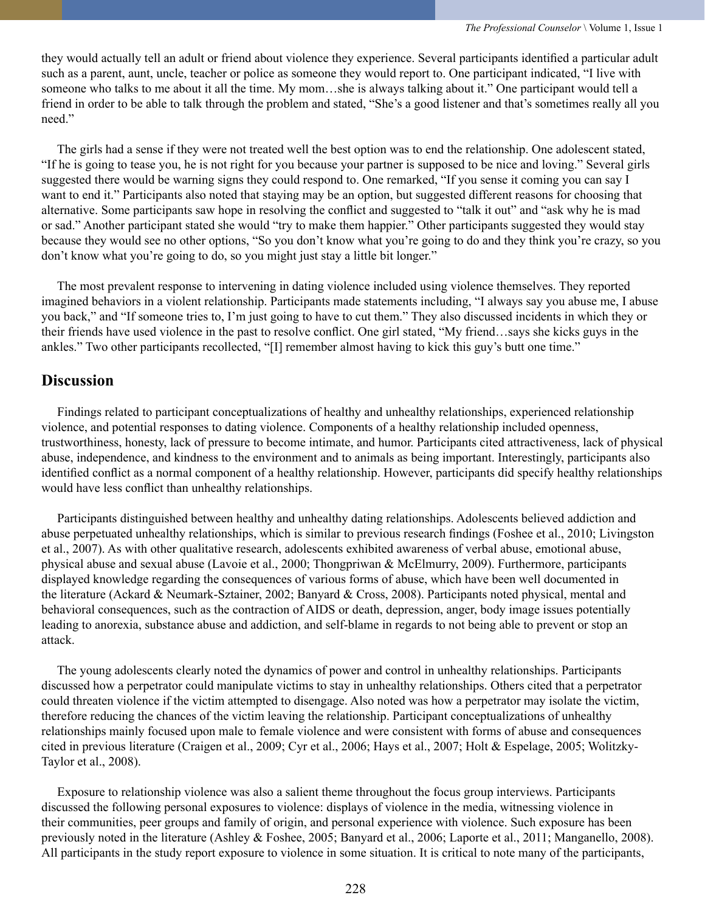they would actually tell an adult or friend about violence they experience. Several participants identified a particular adult such as a parent, aunt, uncle, teacher or police as someone they would report to. One participant indicated, "I live with someone who talks to me about it all the time. My mom…she is always talking about it." One participant would tell a friend in order to be able to talk through the problem and stated, "She's a good listener and that's sometimes really all you need."

 The girls had a sense if they were not treated well the best option was to end the relationship. One adolescent stated, "If he is going to tease you, he is not right for you because your partner is supposed to be nice and loving." Several girls suggested there would be warning signs they could respond to. One remarked, "If you sense it coming you can say I want to end it." Participants also noted that staying may be an option, but suggested different reasons for choosing that alternative. Some participants saw hope in resolving the conflict and suggested to "talk it out" and "ask why he is mad or sad." Another participant stated she would "try to make them happier." Other participants suggested they would stay because they would see no other options, "So you don't know what you're going to do and they think you're crazy, so you don't know what you're going to do, so you might just stay a little bit longer."

 The most prevalent response to intervening in dating violence included using violence themselves. They reported imagined behaviors in a violent relationship. Participants made statements including, "I always say you abuse me, I abuse you back," and "If someone tries to, I'm just going to have to cut them." They also discussed incidents in which they or their friends have used violence in the past to resolve conflict. One girl stated, "My friend…says she kicks guys in the ankles." Two other participants recollected, "[I] remember almost having to kick this guy's butt one time."

## **Discussion**

 Findings related to participant conceptualizations of healthy and unhealthy relationships, experienced relationship violence, and potential responses to dating violence. Components of a healthy relationship included openness, trustworthiness, honesty, lack of pressure to become intimate, and humor. Participants cited attractiveness, lack of physical abuse, independence, and kindness to the environment and to animals as being important. Interestingly, participants also identified conflict as a normal component of a healthy relationship. However, participants did specify healthy relationships would have less conflict than unhealthy relationships.

 Participants distinguished between healthy and unhealthy dating relationships. Adolescents believed addiction and abuse perpetuated unhealthy relationships, which is similar to previous research findings (Foshee et al., 2010; Livingston et al., 2007). As with other qualitative research, adolescents exhibited awareness of verbal abuse, emotional abuse, physical abuse and sexual abuse (Lavoie et al., 2000; Thongpriwan & McElmurry, 2009). Furthermore, participants displayed knowledge regarding the consequences of various forms of abuse, which have been well documented in the literature (Ackard & Neumark-Sztainer, 2002; Banyard & Cross, 2008). Participants noted physical, mental and behavioral consequences, such as the contraction of AIDS or death, depression, anger, body image issues potentially leading to anorexia, substance abuse and addiction, and self-blame in regards to not being able to prevent or stop an attack.

 The young adolescents clearly noted the dynamics of power and control in unhealthy relationships. Participants discussed how a perpetrator could manipulate victims to stay in unhealthy relationships. Others cited that a perpetrator could threaten violence if the victim attempted to disengage. Also noted was how a perpetrator may isolate the victim, therefore reducing the chances of the victim leaving the relationship. Participant conceptualizations of unhealthy relationships mainly focused upon male to female violence and were consistent with forms of abuse and consequences cited in previous literature (Craigen et al., 2009; Cyr et al., 2006; Hays et al., 2007; Holt & Espelage, 2005; Wolitzky-Taylor et al., 2008).

 Exposure to relationship violence was also a salient theme throughout the focus group interviews. Participants discussed the following personal exposures to violence: displays of violence in the media, witnessing violence in their communities, peer groups and family of origin, and personal experience with violence. Such exposure has been previously noted in the literature (Ashley & Foshee, 2005; Banyard et al., 2006; Laporte et al., 2011; Manganello, 2008). All participants in the study report exposure to violence in some situation. It is critical to note many of the participants,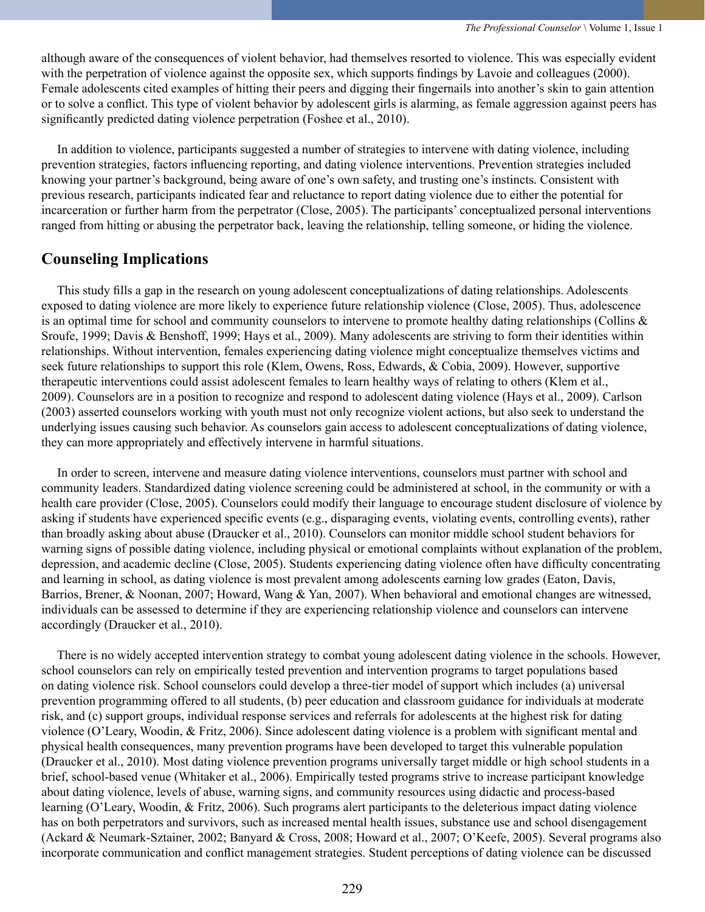although aware of the consequences of violent behavior, had themselves resorted to violence. This was especially evident with the perpetration of violence against the opposite sex, which supports findings by Lavoie and colleagues (2000). Female adolescents cited examples of hitting their peers and digging their fingernails into another's skin to gain attention or to solve a conflict. This type of violent behavior by adolescent girls is alarming, as female aggression against peers has significantly predicted dating violence perpetration (Foshee et al., 2010).

 In addition to violence, participants suggested a number of strategies to intervene with dating violence, including prevention strategies, factors influencing reporting, and dating violence interventions. Prevention strategies included knowing your partner's background, being aware of one's own safety, and trusting one's instincts. Consistent with previous research, participants indicated fear and reluctance to report dating violence due to either the potential for incarceration or further harm from the perpetrator (Close, 2005). The participants' conceptualized personal interventions ranged from hitting or abusing the perpetrator back, leaving the relationship, telling someone, or hiding the violence.

## **Counseling Implications**

 This study fills a gap in the research on young adolescent conceptualizations of dating relationships. Adolescents exposed to dating violence are more likely to experience future relationship violence (Close, 2005). Thus, adolescence is an optimal time for school and community counselors to intervene to promote healthy dating relationships (Collins  $\&$ Sroufe, 1999; Davis & Benshoff, 1999; Hays et al., 2009). Many adolescents are striving to form their identities within relationships. Without intervention, females experiencing dating violence might conceptualize themselves victims and seek future relationships to support this role (Klem, Owens, Ross, Edwards, & Cobia, 2009). However, supportive therapeutic interventions could assist adolescent females to learn healthy ways of relating to others (Klem et al., 2009). Counselors are in a position to recognize and respond to adolescent dating violence (Hays et al., 2009). Carlson (2003) asserted counselors working with youth must not only recognize violent actions, but also seek to understand the underlying issues causing such behavior. As counselors gain access to adolescent conceptualizations of dating violence, they can more appropriately and effectively intervene in harmful situations.

 In order to screen, intervene and measure dating violence interventions, counselors must partner with school and community leaders. Standardized dating violence screening could be administered at school, in the community or with a health care provider (Close, 2005). Counselors could modify their language to encourage student disclosure of violence by asking if students have experienced specific events (e.g., disparaging events, violating events, controlling events), rather than broadly asking about abuse (Draucker et al., 2010). Counselors can monitor middle school student behaviors for warning signs of possible dating violence, including physical or emotional complaints without explanation of the problem, depression, and academic decline (Close, 2005). Students experiencing dating violence often have difficulty concentrating and learning in school, as dating violence is most prevalent among adolescents earning low grades (Eaton, Davis, Barrios, Brener, & Noonan, 2007; Howard, Wang & Yan, 2007). When behavioral and emotional changes are witnessed, individuals can be assessed to determine if they are experiencing relationship violence and counselors can intervene accordingly (Draucker et al., 2010).

 There is no widely accepted intervention strategy to combat young adolescent dating violence in the schools. However, school counselors can rely on empirically tested prevention and intervention programs to target populations based on dating violence risk. School counselors could develop a three-tier model of support which includes (a) universal prevention programming offered to all students, (b) peer education and classroom guidance for individuals at moderate risk, and (c) support groups, individual response services and referrals for adolescents at the highest risk for dating violence (O'Leary, Woodin, & Fritz, 2006). Since adolescent dating violence is a problem with significant mental and physical health consequences, many prevention programs have been developed to target this vulnerable population (Draucker et al., 2010). Most dating violence prevention programs universally target middle or high school students in a brief, school-based venue (Whitaker et al., 2006). Empirically tested programs strive to increase participant knowledge about dating violence, levels of abuse, warning signs, and community resources using didactic and process-based learning (O'Leary, Woodin, & Fritz, 2006). Such programs alert participants to the deleterious impact dating violence has on both perpetrators and survivors, such as increased mental health issues, substance use and school disengagement (Ackard & Neumark-Sztainer, 2002; Banyard & Cross, 2008; Howard et al., 2007; O'Keefe, 2005). Several programs also incorporate communication and conflict management strategies. Student perceptions of dating violence can be discussed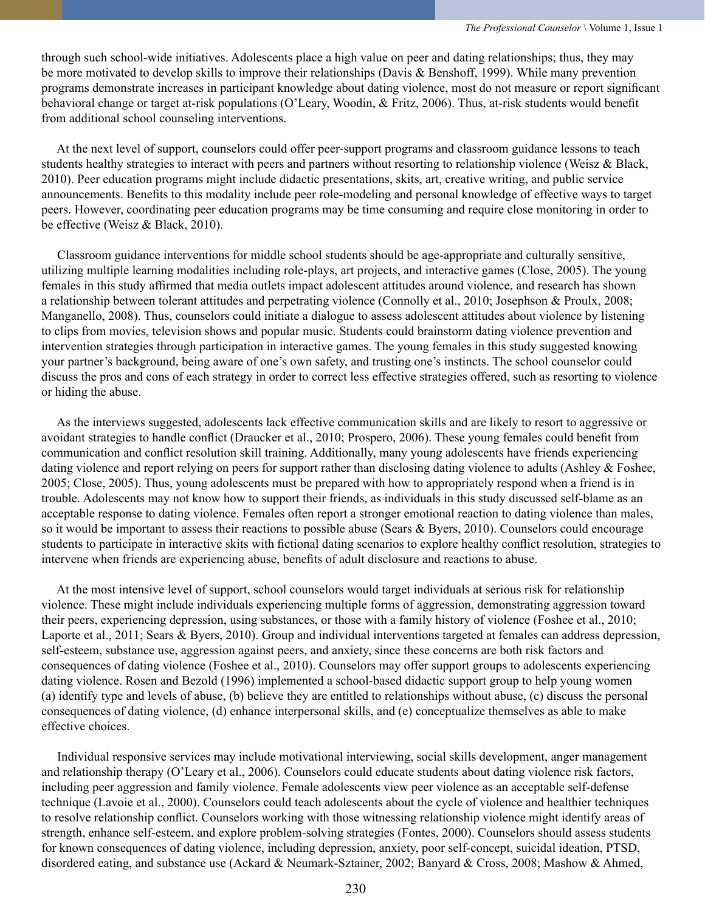through such school-wide initiatives. Adolescents place a high value on peer and dating relationships; thus, they may be more motivated to develop skills to improve their relationships (Davis & Benshoff, 1999). While many prevention programs demonstrate increases in participant knowledge about dating violence, most do not measure or report significant behavioral change or target at-risk populations (O'Leary, Woodin, & Fritz, 2006). Thus, at-risk students would benefit from additional school counseling interventions.

 At the next level of support, counselors could offer peer-support programs and classroom guidance lessons to teach students healthy strategies to interact with peers and partners without resorting to relationship violence (Weisz & Black, 2010). Peer education programs might include didactic presentations, skits, art, creative writing, and public service announcements. Benefits to this modality include peer role-modeling and personal knowledge of effective ways to target peers. However, coordinating peer education programs may be time consuming and require close monitoring in order to be effective (Weisz & Black, 2010).

 Classroom guidance interventions for middle school students should be age-appropriate and culturally sensitive, utilizing multiple learning modalities including role-plays, art projects, and interactive games (Close, 2005). The young females in this study affirmed that media outlets impact adolescent attitudes around violence, and research has shown a relationship between tolerant attitudes and perpetrating violence (Connolly et al., 2010; Josephson & Proulx, 2008; Manganello, 2008). Thus, counselors could initiate a dialogue to assess adolescent attitudes about violence by listening to clips from movies, television shows and popular music. Students could brainstorm dating violence prevention and intervention strategies through participation in interactive games. The young females in this study suggested knowing your partner's background, being aware of one's own safety, and trusting one's instincts. The school counselor could discuss the pros and cons of each strategy in order to correct less effective strategies offered, such as resorting to violence or hiding the abuse.

 As the interviews suggested, adolescents lack effective communication skills and are likely to resort to aggressive or avoidant strategies to handle conflict (Draucker et al., 2010; Prospero, 2006). These young females could benefit from communication and conflict resolution skill training. Additionally, many young adolescents have friends experiencing dating violence and report relying on peers for support rather than disclosing dating violence to adults (Ashley & Foshee, 2005; Close, 2005). Thus, young adolescents must be prepared with how to appropriately respond when a friend is in trouble. Adolescents may not know how to support their friends, as individuals in this study discussed self-blame as an acceptable response to dating violence. Females often report a stronger emotional reaction to dating violence than males, so it would be important to assess their reactions to possible abuse (Sears & Byers, 2010). Counselors could encourage students to participate in interactive skits with fictional dating scenarios to explore healthy conflict resolution, strategies to intervene when friends are experiencing abuse, benefits of adult disclosure and reactions to abuse.

 At the most intensive level of support, school counselors would target individuals at serious risk for relationship violence. These might include individuals experiencing multiple forms of aggression, demonstrating aggression toward their peers, experiencing depression, using substances, or those with a family history of violence (Foshee et al., 2010; Laporte et al., 2011; Sears & Byers, 2010). Group and individual interventions targeted at females can address depression, self-esteem, substance use, aggression against peers, and anxiety, since these concerns are both risk factors and consequences of dating violence (Foshee et al., 2010). Counselors may offer support groups to adolescents experiencing dating violence. Rosen and Bezold (1996) implemented a school-based didactic support group to help young women (a) identify type and levels of abuse, (b) believe they are entitled to relationships without abuse, (c) discuss the personal consequences of dating violence, (d) enhance interpersonal skills, and (e) conceptualize themselves as able to make effective choices.

 Individual responsive services may include motivational interviewing, social skills development, anger management and relationship therapy (O'Leary et al., 2006). Counselors could educate students about dating violence risk factors, including peer aggression and family violence. Female adolescents view peer violence as an acceptable self-defense technique (Lavoie et al., 2000). Counselors could teach adolescents about the cycle of violence and healthier techniques to resolve relationship conflict. Counselors working with those witnessing relationship violence might identify areas of strength, enhance self-esteem, and explore problem-solving strategies (Fontes, 2000). Counselors should assess students for known consequences of dating violence, including depression, anxiety, poor self-concept, suicidal ideation, PTSD, disordered eating, and substance use (Ackard & Neumark-Sztainer, 2002; Banyard & Cross, 2008; Mashow & Ahmed,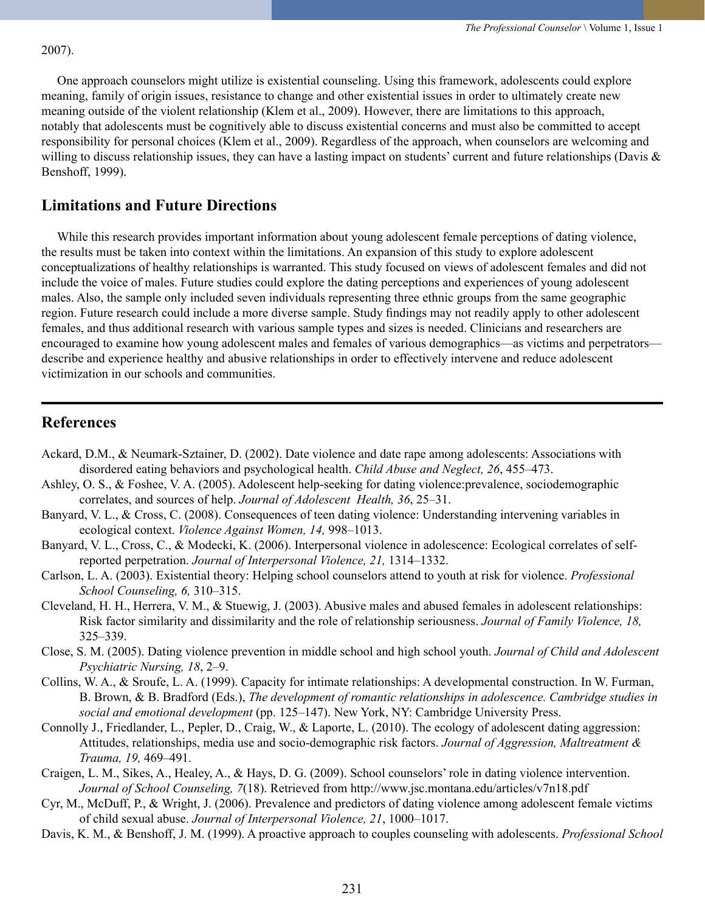#### 2007).

 One approach counselors might utilize is existential counseling. Using this framework, adolescents could explore meaning, family of origin issues, resistance to change and other existential issues in order to ultimately create new meaning outside of the violent relationship (Klem et al., 2009). However, there are limitations to this approach, notably that adolescents must be cognitively able to discuss existential concerns and must also be committed to accept responsibility for personal choices (Klem et al., 2009). Regardless of the approach, when counselors are welcoming and willing to discuss relationship issues, they can have a lasting impact on students' current and future relationships (Davis  $\&$ Benshoff, 1999).

## **Limitations and Future Directions**

While this research provides important information about young adolescent female perceptions of dating violence, the results must be taken into context within the limitations. An expansion of this study to explore adolescent conceptualizations of healthy relationships is warranted. This study focused on views of adolescent females and did not include the voice of males. Future studies could explore the dating perceptions and experiences of young adolescent males. Also, the sample only included seven individuals representing three ethnic groups from the same geographic region. Future research could include a more diverse sample. Study findings may not readily apply to other adolescent females, and thus additional research with various sample types and sizes is needed. Clinicians and researchers are encouraged to examine how young adolescent males and females of various demographics—as victims and perpetrators describe and experience healthy and abusive relationships in order to effectively intervene and reduce adolescent victimization in our schools and communities.

## **References**

- Ackard, D.M., & Neumark-Sztainer, D. (2002). Date violence and date rape among adolescents: Associations with disordered eating behaviors and psychological health. *Child Abuse and Neglect, 26*, 455–473.
- Ashley, O. S., & Foshee, V. A. (2005). Adolescent help-seeking for dating violence:prevalence, sociodemographic correlates, and sources of help. *Journal of Adolescent Health, 36*, 25–31.
- Banyard, V. L., & Cross, C. (2008). Consequences of teen dating violence: Understanding intervening variables in ecological context. *Violence Against Women, 14,* 998–1013.
- Banyard, V. L., Cross, C., & Modecki, K. (2006). Interpersonal violence in adolescence: Ecological correlates of selfreported perpetration. *Journal of Interpersonal Violence, 21,* 1314–1332.
- Carlson, L. A. (2003). Existential theory: Helping school counselors attend to youth at risk for violence. *Professional School Counseling, 6,* 310–315.
- Cleveland, H. H., Herrera, V. M., & Stuewig, J. (2003). Abusive males and abused females in adolescent relationships: Risk factor similarity and dissimilarity and the role of relationship seriousness. *Journal of Family Violence, 18,*  325–339.
- Close, S. M. (2005). Dating violence prevention in middle school and high school youth. *Journal of Child and Adolescent Psychiatric Nursing, 18*, 2–9.
- Collins, W. A., & Sroufe, L. A. (1999). Capacity for intimate relationships: A developmental construction. In W. Furman, B. Brown, & B. Bradford (Eds.), *The development of romantic relationships in adolescence. Cambridge studies in social and emotional development* (pp. 125–147). New York, NY: Cambridge University Press.
- Connolly J., Friedlander, L., Pepler, D., Craig, W., & Laporte, L. (2010). The ecology of adolescent dating aggression: Attitudes, relationships, media use and socio-demographic risk factors. *Journal of Aggression, Maltreatment & Trauma, 19,* 469–491.
- Craigen, L. M., Sikes, A., Healey, A., & Hays, D. G. (2009). School counselors' role in dating violence intervention. *Journal of School Counseling, 7*(18). Retrieved from <http://www.jsc.montana.edu/articles/v7n18.pdf>
- Cyr, M., McDuff, P., & Wright, J. (2006). Prevalence and predictors of dating violence among adolescent female victims of child sexual abuse. *Journal of Interpersonal Violence, 21*, 1000–1017.
- Davis, K. M., & Benshoff, J. M. (1999). A proactive approach to couples counseling with adolescents. *Professional School*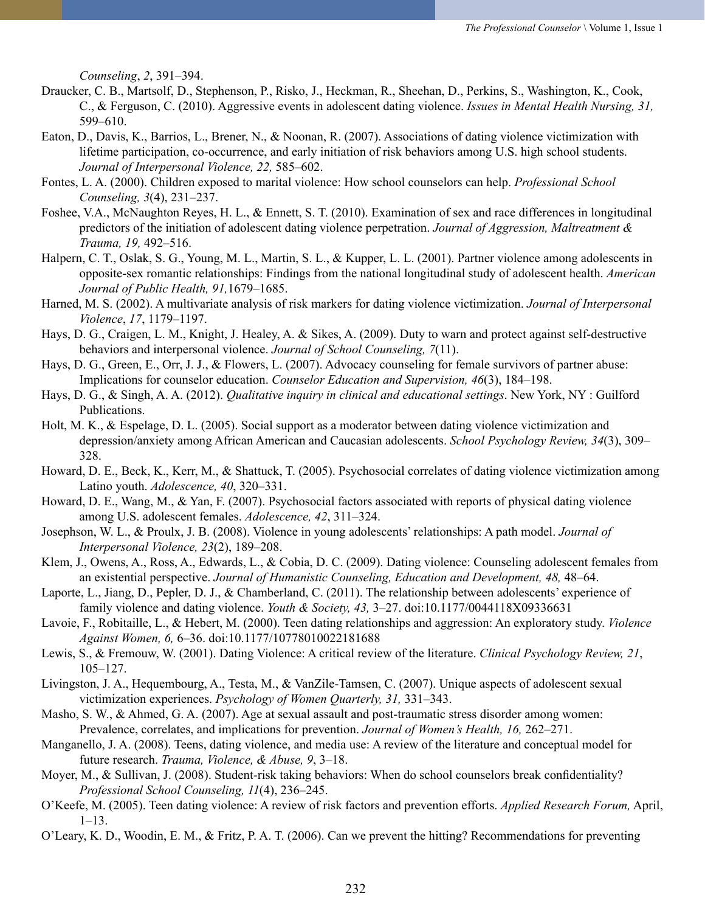*Counseling*, *2*, 391–394.

- Draucker, C. B., Martsolf, D., Stephenson, P., Risko, J., Heckman, R., Sheehan, D., Perkins, S., Washington, K., Cook, C., & Ferguson, C. (2010). Aggressive events in adolescent dating violence. *Issues in Mental Health Nursing, 31,* 599–610.
- Eaton, D., Davis, K., Barrios, L., Brener, N., & Noonan, R. (2007). Associations of dating violence victimization with lifetime participation, co-occurrence, and early initiation of risk behaviors among U.S. high school students. *Journal of Interpersonal Violence, 22,* 585–602.
- Fontes, L. A. (2000). Children exposed to marital violence: How school counselors can help. *Professional School Counseling, 3*(4), 231–237.
- Foshee, V.A., McNaughton Reyes, H. L., & Ennett, S. T. (2010). Examination of sex and race differences in longitudinal predictors of the initiation of adolescent dating violence perpetration. *Journal of Aggression, Maltreatment & Trauma, 19,* 492–516.
- Halpern, C. T., Oslak, S. G., Young, M. L., Martin, S. L., & Kupper, L. L. (2001). Partner violence among adolescents in opposite-sex romantic relationships: Findings from the national longitudinal study of adolescent health. *American Journal of Public Health, 91,*1679–1685.
- Harned, M. S. (2002). A multivariate analysis of risk markers for dating violence victimization. *Journal of Interpersonal Violence*, *17*, 1179–1197.
- Hays, D. G., Craigen, L. M., Knight, J. Healey, A. & Sikes, A. (2009). Duty to warn and protect against self-destructive behaviors and interpersonal violence. *Journal of School Counseling, 7*(11).
- Hays, D. G., Green, E., Orr, J. J., & Flowers, L. (2007). Advocacy counseling for female survivors of partner abuse: Implications for counselor education. *Counselor Education and Supervision, 46*(3), 184–198.
- Hays, D. G., & Singh, A. A. (2012). *Qualitative inquiry in clinical and educational settings*. New York, NY : Guilford Publications.
- Holt, M. K., & Espelage, D. L. (2005). Social support as a moderator between dating violence victimization and depression/anxiety among African American and Caucasian adolescents. *School Psychology Review, 34*(3), 309– 328.
- Howard, D. E., Beck, K., Kerr, M., & Shattuck, T. (2005). Psychosocial correlates of dating violence victimization among Latino youth. *Adolescence, 40*, 320–331.
- Howard, D. E., Wang, M., & Yan, F. (2007). Psychosocial factors associated with reports of physical dating violence among U.S. adolescent females. *Adolescence, 42*, 311–324.
- Josephson, W. L., & Proulx, J. B. (2008). Violence in young adolescents' relationships: A path model. *Journal of Interpersonal Violence, 23*(2), 189–208.
- Klem, J., Owens, A., Ross, A., Edwards, L., & Cobia, D. C. (2009). Dating violence: Counseling adolescent females from an existential perspective. *Journal of Humanistic Counseling, Education and Development, 48, 48–64.*
- Laporte, L., Jiang, D., Pepler, D. J., & Chamberland, C. (2011). The relationship between adolescents' experience of family violence and dating violence. *Youth & Society, 43,* 3–27. doi:10.1177/0044118X09336631
- Lavoie, F., Robitaille, L., & Hebert, M. (2000). Teen dating relationships and aggression: An exploratory study. *Violence Against Women, 6,* 6–36. doi:10.1177/10778010022181688
- Lewis, S., & Fremouw, W. (2001). Dating Violence: A critical review of the literature. *Clinical Psychology Review, 21*, 105–127.
- Livingston, J. A., Hequembourg, A., Testa, M., & VanZile-Tamsen, C. (2007). Unique aspects of adolescent sexual victimization experiences. *Psychology of Women Quarterly, 31,* 331–343.
- Masho, S. W., & Ahmed, G. A. (2007). Age at sexual assault and post-traumatic stress disorder among women: Prevalence, correlates, and implications for prevention. *Journal of Women's Health, 16,* 262–271.
- Manganello, J. A. (2008). Teens, dating violence, and media use: A review of the literature and conceptual model for future research. *Trauma, Violence, & Abuse, 9*, 3–18.
- Moyer, M., & Sullivan, J. (2008). Student-risk taking behaviors: When do school counselors break confidentiality? *Professional School Counseling, 11*(4), 236–245.
- O'Keefe, M. (2005). Teen dating violence: A review of risk factors and prevention efforts. *Applied Research Forum,* April,  $1-13$ .
- O'Leary, K. D., Woodin, E. M., & Fritz, P. A. T. (2006). Can we prevent the hitting? Recommendations for preventing